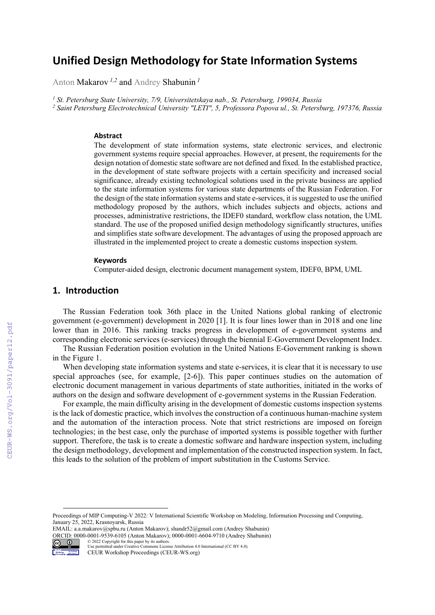# **Unified Design Methodology for State Information Systems**

Anton Makarov *1,2* and Andrey Shabunin *<sup>1</sup>*

<sup>1</sup> St. Petersburg State University, 7/9, Universitetskaya nab., St. Petersburg, 199034, Russia<br><sup>2</sup> Saint Petersburg Electrotechnical University "LETI" 5. Professora Ponova ul. St. Petersb  *Saint Petersburg Electrotechnical University "LETI", 5, Professora Popova ul., St. Petersburg, 197376, Russia* 

#### **Abstract**

The development of state information systems, state electronic services, and electronic government systems require special approaches. However, at present, the requirements for the design notation of domestic state software are not defined and fixed. In the established practice, in the development of state software projects with a certain specificity and increased social significance, already existing technological solutions used in the private business are applied to the state information systems for various state departments of the Russian Federation. For the design of the state information systems and state e-services, it is suggested to use the unified methodology proposed by the authors, which includes subjects and objects, actions and processes, administrative restrictions, the IDEF0 standard, workflow class notation, the UML standard. The use of the proposed unified design methodology significantly structures, unifies and simplifies state software development. The advantages of using the proposed approach are illustrated in the implemented project to create a domestic customs inspection system.

#### **Keywords 1**

Computer-aided design, electronic document management system, IDEF0, BPM, UML

### **1. Introduction**

The Russian Federation took 36th place in the United Nations global ranking of electronic government (e-government) development in 2020 [1]. It is four lines lower than in 2018 and one line lower than in 2016. This ranking tracks progress in development of e-government systems and corresponding electronic services (e-services) through the biennial E-Government Development Index.

The Russian Federation position evolution in the United Nations E-Government ranking is shown in the Figure 1.

When developing state information systems and state e-services, it is clear that it is necessary to use special approaches (see, for example, [2-6]). This paper continues studies on the automation of electronic document management in various departments of state authorities, initiated in the works of authors on the design and software development of e-government systems in the Russian Federation.

For example, the main difficulty arising in the development of domestic customs inspection systems is the lack of domestic practice, which involves the construction of a continuous human-machine system and the automation of the interaction process. Note that strict restrictions are imposed on foreign technologies; in the best case, only the purchase of imported systems is possible together with further support. Therefore, the task is to create a domestic software and hardware inspection system, including the design methodology, development and implementation of the constructed inspection system. In fact, this leads to the solution of the problem of import substitution in the Customs Service.

Proceedings of MIP Computing-V 2022: V International Scientific Workshop on Modeling, Information Processing and Computing, January 25, 2022, Krasnoyarsk, Russia

EMAIL: a.a.makarov@spbu.ru (Anton Makarov); shandr52@gmail.com (Andrey Shabunin) ORCID: 0000-0001-9539-6105 (Anton Makarov); 0000-0001-6604-9710 (Andrey Shabunin) © 2022 Copyright for this paper by its authors.



Use permitted under Creative Commons License Attribution 4.0 International (CC BY 4.0). CEUR Workshop Proceedings (CEUR-WS.org)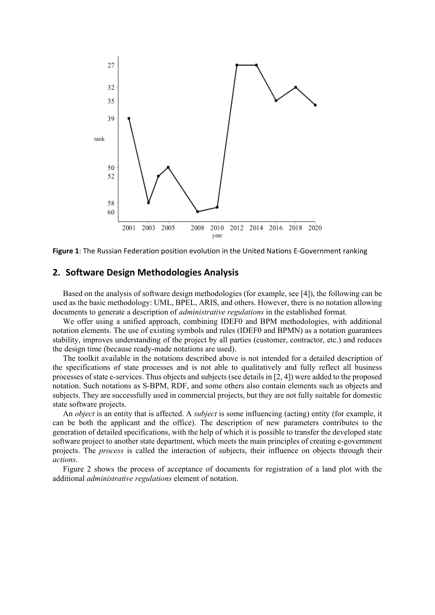

**Figure 1**: The Russian Federation position evolution in the United Nations E‐Government ranking

# **2. Software Design Methodologies Analysis**

Based on the analysis of software design methodologies (for example, see [4]), the following can be used as the basic methodology: UML, BPEL, ARIS, and others. However, there is no notation allowing documents to generate a description of *administrative regulations* in the established format.

We offer using a unified approach, combining IDEF0 and BPM methodologies, with additional notation elements. The use of existing symbols and rules (IDEF0 and BPMN) as a notation guarantees stability, improves understanding of the project by all parties (customer, contractor, etc.) and reduces the design time (because ready-made notations are used).

The toolkit available in the notations described above is not intended for a detailed description of the specifications of state processes and is not able to qualitatively and fully reflect all business processes of state e-services. Thus objects and subjects (see details in [2, 4]) were added to the proposed notation. Such notations as S-BPM, RDF, and some others also contain elements such as objects and subjects. They are successfully used in commercial projects, but they are not fully suitable for domestic state software projects.

An *object* is an entity that is affected. A *subject* is some influencing (acting) entity (for example, it can be both the applicant and the office). The description of new parameters contributes to the generation of detailed specifications, with the help of which it is possible to transfer the developed state software project to another state department, which meets the main principles of creating e-government projects. The *process* is called the interaction of subjects, their influence on objects through their *actions*.

Figure 2 shows the process of acceptance of documents for registration of a land plot with the additional *administrative regulations* element of notation.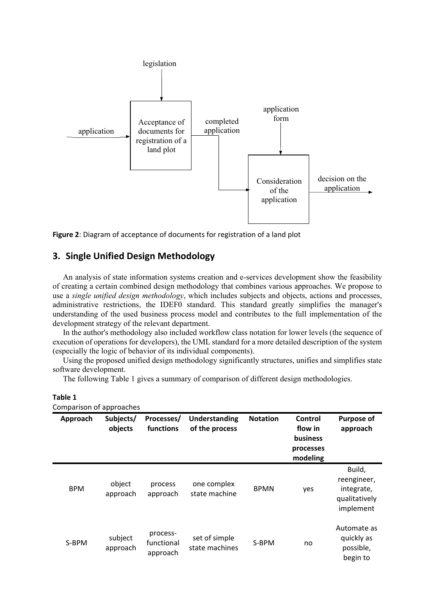

**Figure 2**: Diagram of acceptance of documents for registration of a land plot

## **3. Single Unified Design Methodology**

An analysis of state information systems creation and e-services development show the feasibility of creating a certain combined design methodology that combines various approaches. We propose to use a *single unified design methodology*, which includes subjects and objects, actions and processes, administrative restrictions, the IDEF0 standard. This standard greatly simplifies the manager's understanding of the used business process model and contributes to the full implementation of the development strategy of the relevant department.

In the author's methodology also included workflow class notation for lower levels (the sequence of execution of operations for developers), the UML standard for a more detailed description of the system (especially the logic of behavior of its individual components).

Using the proposed unified design methodology significantly structures, unifies and simplifies state software development.

The following Table 1 gives a summary of comparison of different design methodologies.

| ш<br>ш<br>× | ı<br>۰, |
|-------------|---------|
|-------------|---------|

| Approach   | Subjects/<br>objects | Processes/<br>functions            | Understanding<br>of the process | <b>Notation</b> | Control<br>flow in<br>business<br>processes<br>modeling | <b>Purpose of</b><br>approach                                     |
|------------|----------------------|------------------------------------|---------------------------------|-----------------|---------------------------------------------------------|-------------------------------------------------------------------|
| <b>BPM</b> | object<br>approach   | process<br>approach                | one complex<br>state machine    | <b>BPMN</b>     | yes                                                     | Build,<br>reengineer,<br>integrate,<br>qualitatively<br>implement |
| S-BPM      | subject<br>approach  | process-<br>functional<br>approach | set of simple<br>state machines | S-BPM           | no                                                      | Automate as<br>quickly as<br>possible,<br>begin to                |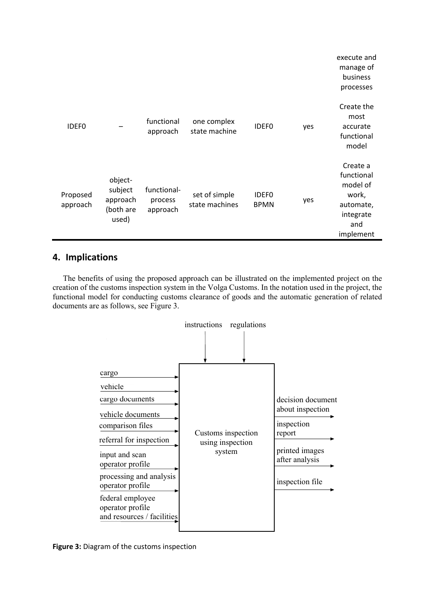|                      |                                                      |                                    |                                 |                             |     | execute and<br>manage of<br>business<br>processes                                         |
|----------------------|------------------------------------------------------|------------------------------------|---------------------------------|-----------------------------|-----|-------------------------------------------------------------------------------------------|
| <b>IDEFO</b>         |                                                      | functional<br>approach             | one complex<br>state machine    | <b>IDEFO</b>                | yes | Create the<br>most<br>accurate<br>functional<br>model                                     |
| Proposed<br>approach | object-<br>subject<br>approach<br>(both are<br>used) | functional-<br>process<br>approach | set of simple<br>state machines | <b>IDEFO</b><br><b>BPMN</b> | yes | Create a<br>functional<br>model of<br>work,<br>automate,<br>integrate<br>and<br>implement |

# **4. Implications**

The benefits of using the proposed approach can be illustrated on the implemented project on the creation of the customs inspection system in the Volga Customs. In the notation used in the project, the functional model for conducting customs clearance of goods and the automatic generation of related documents are as follows, see Figure 3.



**Figure 3:** Diagram of the customs inspection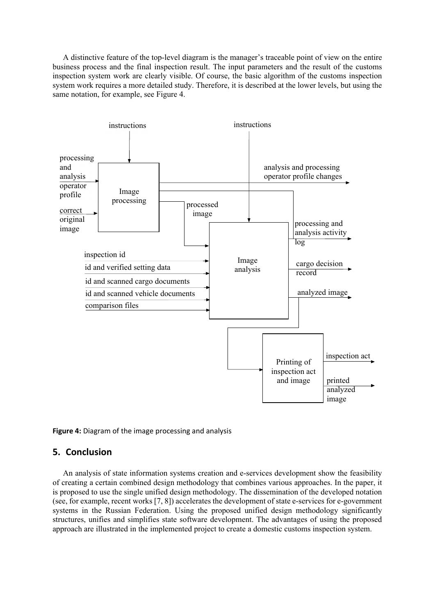A distinctive feature of the top-level diagram is the manager's traceable point of view on the entire business process and the final inspection result. The input parameters and the result of the customs inspection system work are clearly visible. Of course, the basic algorithm of the customs inspection system work requires a more detailed study. Therefore, it is described at the lower levels, but using the same notation, for example, see Figure 4.



### **Figure 4:** Diagram of the image processing and analysis

### **5. Conclusion**

An analysis of state information systems creation and e-services development show the feasibility of creating a certain combined design methodology that combines various approaches. In the paper, it is proposed to use the single unified design methodology. The dissemination of the developed notation (see, for example, recent works [7, 8]) accelerates the development of state e-services for e-government systems in the Russian Federation. Using the proposed unified design methodology significantly structures, unifies and simplifies state software development. The advantages of using the proposed approach are illustrated in the implemented project to create a domestic customs inspection system.